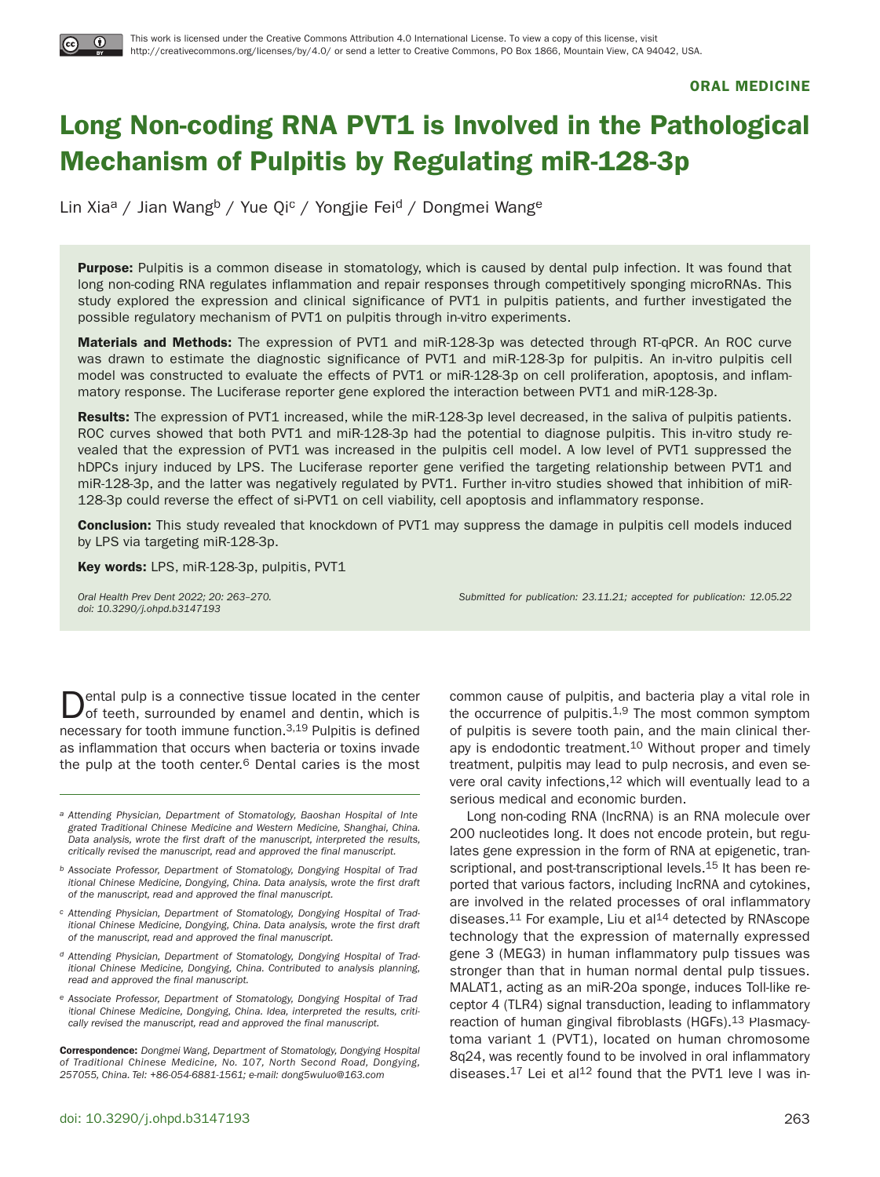

**ORAL MEDICINE**

# Long Non-coding RNA PVT1 is Involved in the Pathological **Mechanism of Pulpitis by Regulating miR-128-3p**

Lin Xia<sup>a</sup> / Jian Wang<sup>b</sup> / Yue Qi<sup>c</sup> / Yongjie Fei<sup>d</sup> / Dongmei Wang<sup>e</sup>

**Purpose:** Pulpitis is a common disease in stomatology, which is caused by dental pulp infection. It was found that long non-coding RNA regulates inflammation and repair responses through competitively sponging microRNAs. This study explored the expression and clinical significance of PVT1 in pulpitis patients, and further investigated the possible regulatory mechanism of PVT1 on pulpitis through in-vitro experiments.

**Materials and Methods:** The expression of PVT1 and miR-128-3p was detected through RT-qPCR. An ROC curve was drawn to estimate the diagnostic significance of PVT1 and miR-128-3p for pulpitis. An in-vitro pulpitis cell model was constructed to evaluate the effects of PVT1 or miR-128-3p on cell proliferation, apoptosis, and inflammatory response. The Luciferase reporter gene explored the interaction between PVT1 and miR-128-3p.

**Results:** The expression of PVT1 increased, while the miR-128-3p level decreased, in the saliva of pulpitis patients. ROC curves showed that both PVT1 and miR-128-3p had the potential to diagnose pulpitis. This in-vitro study revealed that the expression of PVT1 was increased in the pulpitis cell model. A low level of PVT1 suppressed the hDPCs injury induced by LPS. The Luciferase reporter gene verified the targeting relationship between PVT1 and miR-128-3p, and the latter was negatively regulated by PVT1. Further in-vitro studies showed that inhibition of miR-128-3p could reverse the effect of si-PVT1 on cell viability, cell apoptosis and inflammatory response.

**Conclusion:** This study revealed that knockdown of PVT1 may suppress the damage in pulpitis cell models induced by LPS via targeting miR-128-3p.

**Key words:** LPS, miR-128-3p, pulpitis, PVT1

doi: 10.3290/j.ohpd.b3147193

Oral Health Prev Dent 2022; 20: 263–270. Submitted for publication: 23.11.21; accepted for publication: 12.05.22

ental pulp is a connective tissue located in the center of teeth, surrounded by enamel and dentin, which is necessary for tooth immune function.3,19 Pulpitis is defined as inflammation that occurs when bacteria or toxins invade the pulp at the tooth center.<sup>6</sup> Dental caries is the most

- a Attending Physician, Department of Stomatology, Baoshan Hospital of Integrated Traditional Chinese Medicine and Western Medicine, Shanghai, China. Data analysis, wrote the first draft of the manuscript, interpreted the results, critically revised the manuscript, read and approved the final manuscript.
- b Associate Professor, Department of Stomatology, Dongying Hospital of Traditional Chinese Medicine, Dongying, China. Data analysis, wrote the first draft of the manuscript, read and approved the final manuscript.
- c Attending Physician, Department of Stomatology, Dongying Hospital of Traditional Chinese Medicine, Dongying, China. Data analysis, wrote the first draft of the manuscript, read and approved the final manuscript.
- d Attending Physician, Department of Stomatology, Dongying Hospital of Traditional Chinese Medicine, Dongying, China. Contributed to analysis planning, read and approved the final manuscript.
- e Associate Professor, Department of Stomatology, Dongying Hospital of Traditional Chinese Medicine, Dongying, China. Idea, interpreted the results, critically revised the manuscript, read and approved the final manuscript.

**Correspondence:** Dongmei Wang, Department of Stomatology, Dongying Hospital of Traditional Chinese Medicine, No. 107, North Second Road, Dongying, 257055, China. Tel: +86-054-6881-1561; e-mail: dong5wuluo@163.com

common cause of pulpitis, and bacteria play a vital role in the occurrence of pulpitis.<sup>1,9</sup> The most common symptom of pulpitis is severe tooth pain, and the main clinical therapy is endodontic treatment.10 Without proper and timely treatment, pulpitis may lead to pulp necrosis, and even severe oral cavity infections,<sup>12</sup> which will eventually lead to a serious medical and economic burden.

Long non-coding RNA (lncRNA) is an RNA molecule over 200 nucleotides long. It does not encode protein, but regulates gene expression in the form of RNA at epigenetic, transcriptional, and post-transcriptional levels.<sup>15</sup> It has been reported that various factors, including lncRNA and cytokines, are involved in the related processes of oral inflammatory diseases.<sup>11</sup> For example, Liu et al<sup>14</sup> detected by RNAscope technology that the expression of maternally expressed gene 3 (MEG3) in human inflammatory pulp tissues was stronger than that in human normal dental pulp tissues. MALAT1, acting as an miR-20a sponge, induces Toll-like receptor 4 (TLR4) signal transduction, leading to inflammatory reaction of human gingival fibroblasts (HGFs).<sup>13</sup> Plasmacytoma variant 1 (PVT1), located on human chromosome 8q24, was recently found to be involved in oral inflammatory diseases. $17$  Lei et al $12$  found that the PVT1 leve I was in-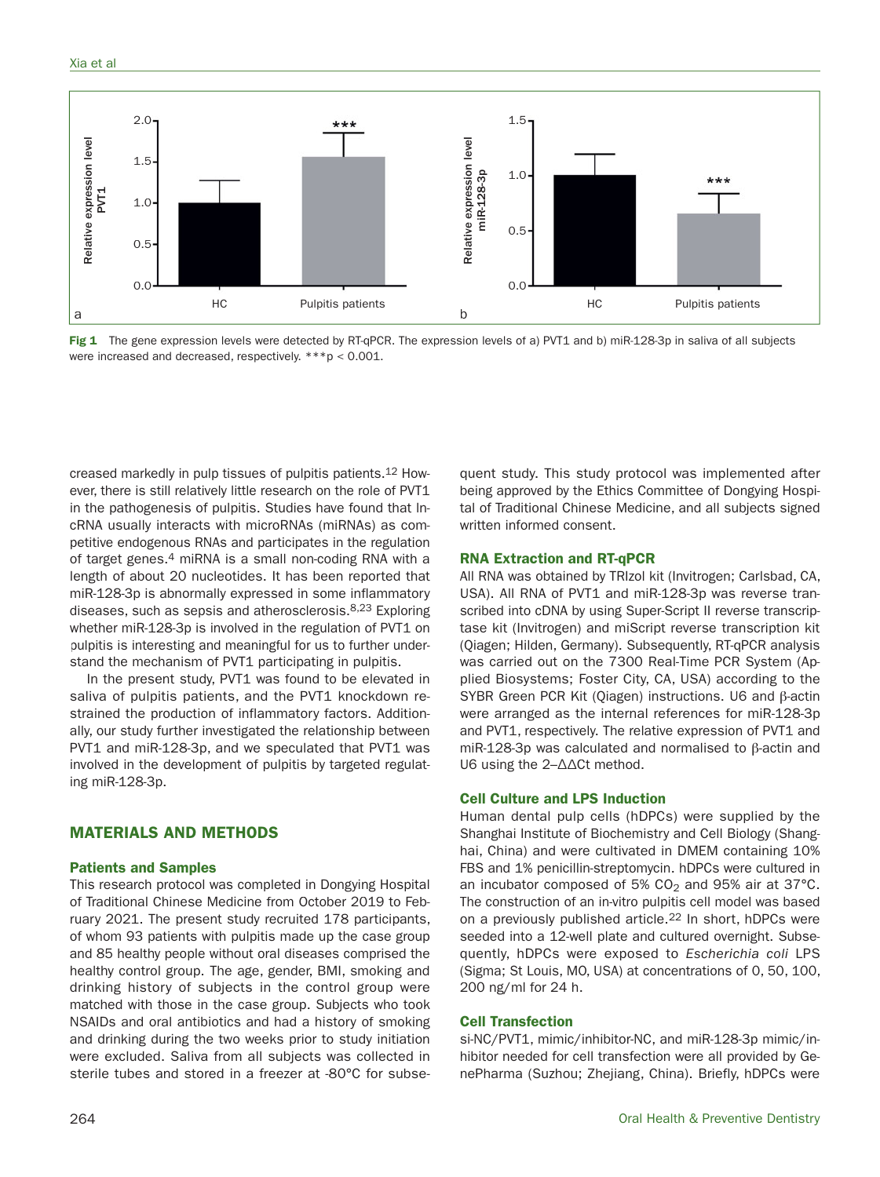#### Xia et al



Fig 1 The gene expression levels were detected by RT-qPCR. The expression levels of a) PVT1 and b) miR-128-3p in saliva of all subjects were increased and decreased, respectively. \*\*\*p < 0.001.

creased markedly in pulp tissues of pulpitis patients.12 However, there is still relatively little research on the role of PVT1 in the pathogenesis of pulpitis. Studies have found that lncRNA usually interacts with microRNAs (miRNAs) as competitive endogenous RNAs and participates in the regulation of target genes.<sup>4</sup> miRNA is a small non-coding RNA with a length of about 20 nucleotides. It has been reported that miR-128-3p is abnormally expressed in some inflammatory diseases, such as sepsis and atherosclerosis.<sup>8,23</sup> Exploring whether miR-128-3p is involved in the regulation of PVT1 on pulpitis is interesting and meaningful for us to further understand the mechanism of PVT1 participating in pulpitis.

In the present study, PVT1 was found to be elevated in saliva of pulpitis patients, and the PVT1 knockdown restrained the production of inflammatory factors. Additionally, our study further investigated the relationship between PVT1 and miR-128-3p, and we speculated that PVT1 was involved in the development of pulpitis by targeted regulating miR-128-3p.

# **MATERIALS AND METHODS**

#### **Patients and Samples**

This research protocol was completed in Dongying Hospital of Traditional Chinese Medicine from October 2019 to February 2021. The present study recruited 178 participants, of whom 93 patients with pulpitis made up the case group and 85 healthy people without oral diseases comprised the healthy control group. The age, gender, BMI, smoking and drinking history of subjects in the control group were matched with those in the case group. Subjects who took NSAIDs and oral antibiotics and had a history of smoking and drinking during the two weeks prior to study initiation were excluded. Saliva from all subjects was collected in sterile tubes and stored in a freezer at -80°C for subse-

quent study. This study protocol was implemented after being approved by the Ethics Committee of Dongying Hospital of Traditional Chinese Medicine, and all subjects signed written informed consent.

## **RNA Extraction and RT-qPCR**

All RNA was obtained by TRIzol kit (Invitrogen; Carlsbad, CA, USA). All RNA of PVT1 and miR-128-3p was reverse transcribed into cDNA by using Super-Script II reverse transcriptase kit (Invitrogen) and miScript reverse transcription kit (Qiagen; Hilden, Germany). Subsequently, RT-qPCR analysis was carried out on the 7300 Real-Time PCR System (Applied Biosystems; Foster City, CA, USA) according to the SYBR Green PCR Kit (Qiagen) instructions. U6 and  $\beta$ -actin were arranged as the internal references for miR-128-3p and PVT1, respectively. The relative expression of PVT1 and miR-128-3p was calculated and normalised to  $\beta$ -actin and U6 using the 2–ΔΔCt method.

## **Cell Culture and LPS Induction**

Human dental pulp cells (hDPCs) were supplied by the Shanghai Institute of Biochemistry and Cell Biology (Shanghai, China) and were cultivated in DMEM containing 10% FBS and 1% penicillin-streptomycin. hDPCs were cultured in an incubator composed of 5%  $CO<sub>2</sub>$  and 95% air at 37°C. The construction of an in-vitro pulpitis cell model was based on a previously published article.22 In short, hDPCs were seeded into a 12-well plate and cultured overnight. Subsequently, hDPCs were exposed to Escherichia coli LPS (Sigma; St Louis, MO, USA) at concentrations of 0, 50, 100, 200 ng/ml for 24 h.

#### **Cell Transfection**

si-NC/PVT1, mimic/inhibitor-NC, and miR-128-3p mimic/inhibitor needed for cell transfection were all provided by GenePharma (Suzhou; Zhejiang, China). Briefly, hDPCs were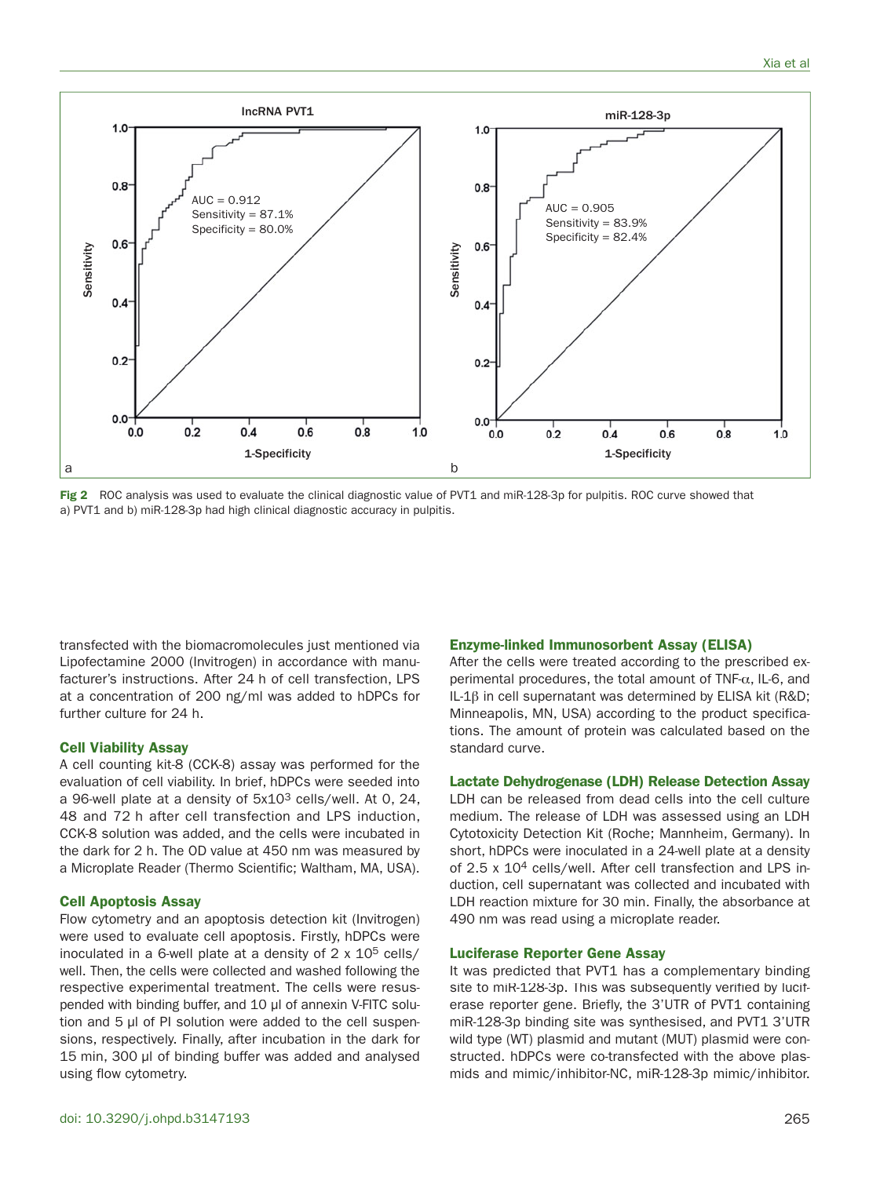

**Fig 2** ROC analysis was used to evaluate the clinical diagnostic value of PVT1 and miR-128-3p for pulpitis. ROC curve showed that a) PVT1 and b) miR-128-3p had high clinical diagnostic accuracy in pulpitis.

transfected with the biomacromolecules just mentioned via Lipofectamine 2000 (Invitrogen) in accordance with manufacturer's instructions. After 24 h of cell transfection, LPS at a concentration of 200 ng/ml was added to hDPCs for further culture for 24 h.

#### **Cell Viability Assay**

A cell counting kit-8 (CCK-8) assay was performed for the evaluation of cell viability. In brief, hDPCs were seeded into a 96-well plate at a density of 5x103 cells/well. At 0, 24, 48 and 72 h after cell transfection and LPS induction, CCK-8 solution was added, and the cells were incubated in the dark for 2 h. The OD value at 450 nm was measured by a Microplate Reader (Thermo Scientific; Waltham, MA, USA).

#### **Cell Apoptosis Assay**

Flow cytometry and an apoptosis detection kit (Invitrogen) were used to evaluate cell apoptosis. Firstly, hDPCs were inoculated in a 6-well plate at a density of  $2 \times 10^5$  cells/ well. Then, the cells were collected and washed following the respective experimental treatment. The cells were resuspended with binding buffer, and 10 μl of annexin V-FITC solution and 5 μl of PI solution were added to the cell suspensions, respectively. Finally, after incubation in the dark for 15 min, 300 μl of binding buffer was added and analysed using flow cytometry.

#### **Enzyme-linked Immunosorbent Assay (ELISA)**

After the cells were treated according to the prescribed experimental procedures, the total amount of TNF- $\alpha$ , IL-6, and IL-1 $\beta$  in cell supernatant was determined by ELISA kit (R&D; Minneapolis, MN, USA) according to the product specifications. The amount of protein was calculated based on the standard curve.

#### **Lactate Dehydrogenase (LDH) Release Detection Assay**

LDH can be released from dead cells into the cell culture medium. The release of LDH was assessed using an LDH Cytotoxicity Detection Kit (Roche; Mannheim, Germany). In short, hDPCs were inoculated in a 24-well plate at a density of 2.5 x 104 cells/well. After cell transfection and LPS induction, cell supernatant was collected and incubated with LDH reaction mixture for 30 min. Finally, the absorbance at 490 nm was read using a microplate reader.

## **Luciferase Reporter Gene Assay**

It was predicted that PVT1 has a complementary binding site to miR-128-3p. This was subsequently verified by luciferase reporter gene. Briefly, the 3'UTR of PVT1 containing miR-128-3p binding site was synthesised, and PVT1 3'UTR wild type (WT) plasmid and mutant (MUT) plasmid were constructed. hDPCs were co-transfected with the above plasmids and mimic/inhibitor-NC, miR-128-3p mimic/inhibitor.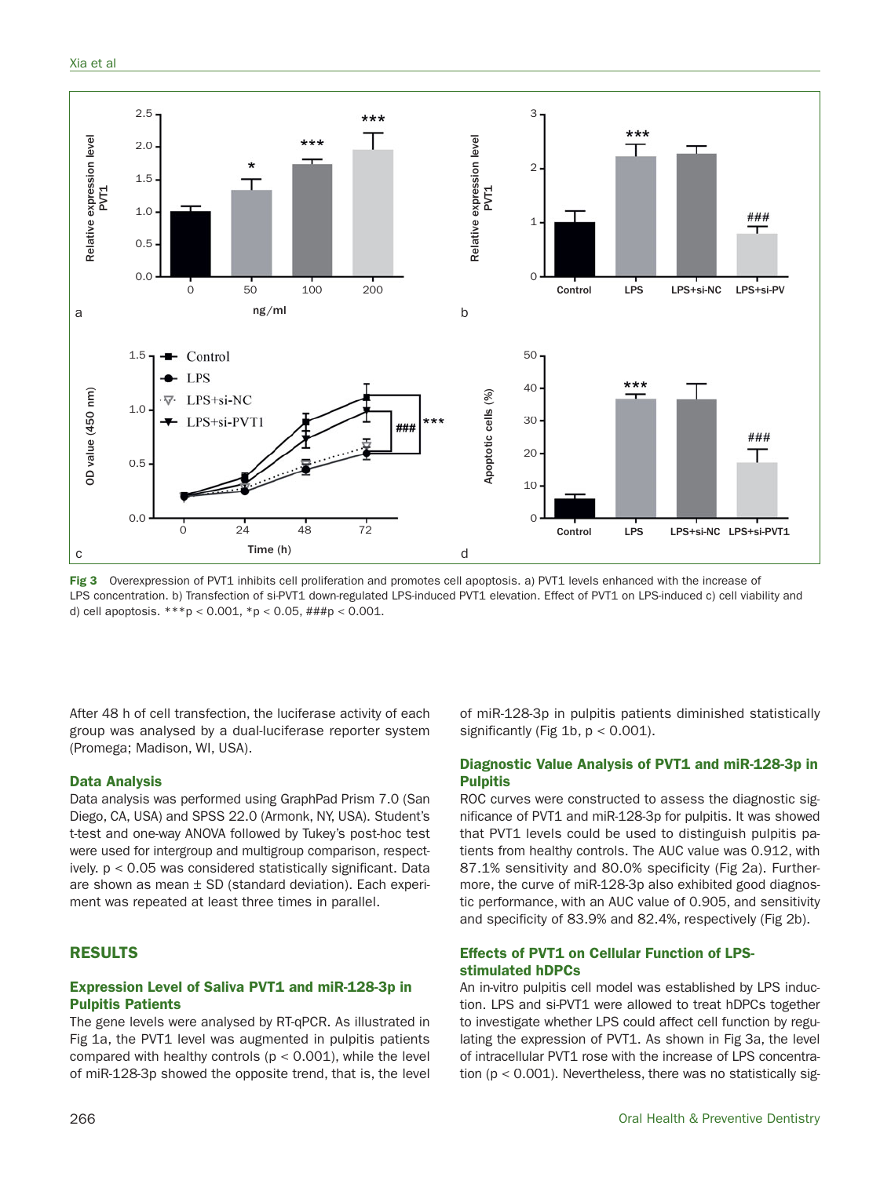

Fig 3 Overexpression of PVT1 inhibits cell proliferation and promotes cell apoptosis. a) PVT1 levels enhanced with the increase of LPS concentration. b) Transfection of si-PVT1 down-regulated LPS-induced PVT1 elevation. Effect of PVT1 on LPS-induced c) cell viability and d) cell apoptosis. \*\*\*p < 0.001, \*p < 0.05, ###p < 0.001.

After 48 h of cell transfection, the luciferase activity of each group was analysed by a dual-luciferase reporter system (Promega; Madison, WI, USA).

#### **Data Analysis**

Data analysis was performed using GraphPad Prism 7.0 (San Diego, CA, USA) and SPSS 22.0 (Armonk, NY, USA). Student's t-test and one-way ANOVA followed by Tukey's post-hoc test were used for intergroup and multigroup comparison, respectively. p < 0.05 was considered statistically significant. Data are shown as mean  $\pm$  SD (standard deviation). Each experiment was repeated at least three times in parallel.

# **RESULTS**

# **Expression Level of Saliva PVT1 and miR-128-3p in Pulpitis Patients**

The gene levels were analysed by RT-qPCR. As illustrated in Fig 1a, the PVT1 level was augmented in pulpitis patients compared with healthy controls  $(p < 0.001)$ , while the level of miR-128-3p showed the opposite trend, that is, the level of miR-128-3p in pulpitis patients diminished statistically significantly (Fig 1b,  $p < 0.001$ ).

# **Diagnostic Value Analysis of PVT1 and miR-128-3p in Pulpitis**

ROC curves were constructed to assess the diagnostic significance of PVT1 and miR-128-3p for pulpitis. It was showed that PVT1 levels could be used to distinguish pulpitis patients from healthy controls. The AUC value was 0.912, with 87.1% sensitivity and 80.0% specificity (Fig 2a). Furthermore, the curve of miR-128-3p also exhibited good diagnostic performance, with an AUC value of 0.905, and sensitivity and specificity of 83.9% and 82.4%, respectively (Fig 2b).

## **Effects of PVT1 on Cellular Function of LPSstimulated hDPCs**

An in-vitro pulpitis cell model was established by LPS induction. LPS and si-PVT1 were allowed to treat hDPCs together to investigate whether LPS could affect cell function by regulating the expression of PVT1. As shown in Fig 3a, the level of intracellular PVT1 rose with the increase of LPS concentration ( $p < 0.001$ ). Nevertheless, there was no statistically sig-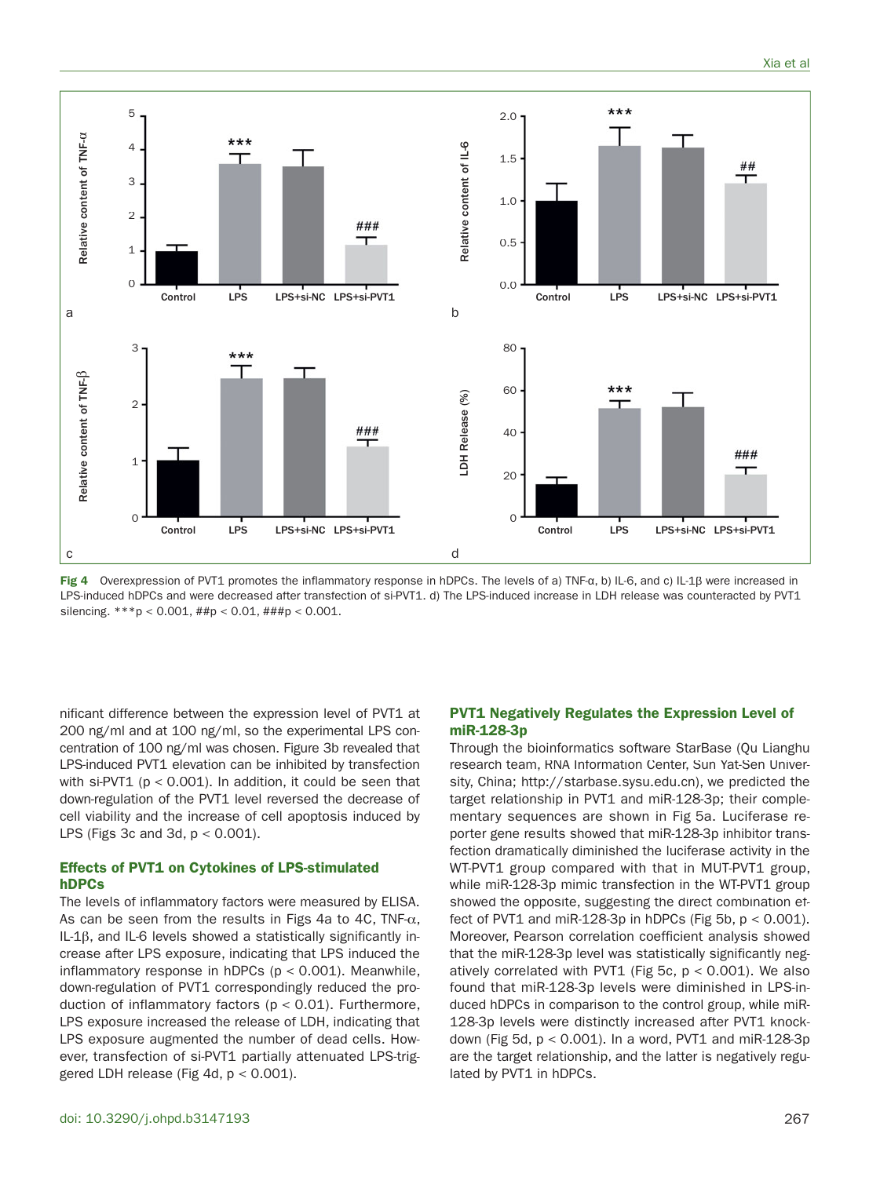

**Fig 4** Overexpression of PVT1 promotes the inflammatory response in hDPCs. The levels of a) TNF-α, b) IL-6, and c) IL-1β were increased in LPS-induced hDPCs and were decreased after transfection of si-PVT1. d) The LPS-induced increase in LDH release was counteracted by PVT1 silencing. \*\*\*p < 0.001, ##p < 0.01, ###p < 0.001.

nificant difference between the expression level of PVT1 at 200 ng/ml and at 100 ng/ml, so the experimental LPS concentration of 100 ng/ml was chosen. Figure 3b revealed that LPS-induced PVT1 elevation can be inhibited by transfection with  $si-PVT1$  ( $p < 0.001$ ). In addition, it could be seen that down-regulation of the PVT1 level reversed the decrease of cell viability and the increase of cell apoptosis induced by LPS (Figs 3c and 3d,  $p < 0.001$ ).

# **Effects of PVT1 on Cytokines of LPS-stimulated hDPCs**

The levels of inflammatory factors were measured by ELISA. As can be seen from the results in Figs 4a to 4C, TNF- $\alpha$ , IL-1 $\beta$ , and IL-6 levels showed a statistically significantly increase after LPS exposure, indicating that LPS induced the inflammatory response in hDPCs ( $p < 0.001$ ). Meanwhile, down-regulation of PVT1 correspondingly reduced the production of inflammatory factors ( $p < 0.01$ ). Furthermore, LPS exposure increased the release of LDH, indicating that LPS exposure augmented the number of dead cells. However, transfection of si-PVT1 partially attenuated LPS-triggered LDH release (Fig 4d,  $p < 0.001$ ).

## **PVT1 Negatively Regulates the Expression Level of miR-128-3p**

Through the bioinformatics software StarBase (Qu Lianghu research team, RNA Information Center, Sun Yat-Sen University, China; http://starbase.sysu.edu.cn), we predicted the target relationship in PVT1 and miR-128-3p; their complementary sequences are shown in Fig 5a. Luciferase reporter gene results showed that miR-128-3p inhibitor transfection dramatically diminished the luciferase activity in the WT-PVT1 group compared with that in MUT-PVT1 group, while miR-128-3p mimic transfection in the WT-PVT1 group showed the opposite, suggesting the direct combination effect of PVT1 and miR-128-3p in hDPCs (Fig 5b,  $p < 0.001$ ). Moreover, Pearson correlation coefficient analysis showed that the miR-128-3p level was statistically significantly negatively correlated with PVT1 (Fig 5c,  $p < 0.001$ ). We also found that miR-128-3p levels were diminished in LPS-induced hDPCs in comparison to the control group, while miR-128-3p levels were distinctly increased after PVT1 knockdown (Fig 5d,  $p < 0.001$ ). In a word, PVT1 and miR-128-3p are the target relationship, and the latter is negatively regulated by PVT1 in hDPCs.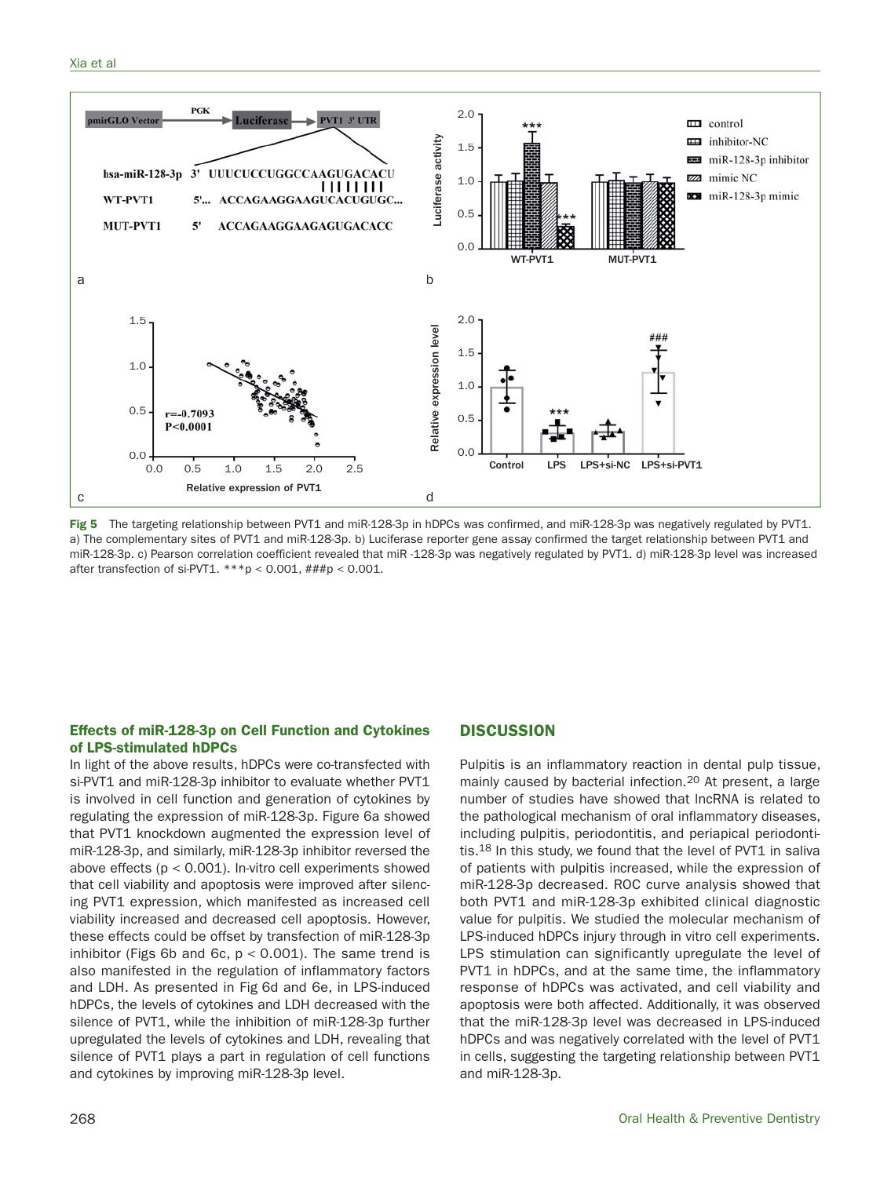![](_page_5_Figure_1.jpeg)

**Fig 5** The targeting relationship between PVT1 and miR-128-3p in hDPCs was confirmed, and miR-128-3p was negatively regulated by PVT1. a) The complementary sites of PVT1 and miR-128-3p. b) Luciferase reporter gene assay confirmed the target relationship between PVT1 and miR-128-3p. c) Pearson correlation coefficient revealed that miR -128-3p was negatively regulated by PVT1. d) miR-128-3p level was increased after transfection of si-PVT1.  $***p < 0.001$ ,  $\# \# \np < 0.001$ .

# **Effects of miR-128-3p on Cell Function and Cytokines of LPS-stimulated hDPCs**

In light of the above results, hDPCs were co-transfected with si-PVT1 and miR-128-3p inhibitor to evaluate whether PVT1 is involved in cell function and generation of cytokines by regulating the expression of miR-128-3p. Figure 6a showed that PVT1 knockdown augmented the expression level of miR-128-3p, and similarly, miR-128-3p inhibitor reversed the above effects (p < 0.001). In-vitro cell experiments showed that cell viability and apoptosis were improved after silencing PVT1 expression, which manifested as increased cell viability increased and decreased cell apoptosis. However, these effects could be offset by transfection of miR-128-3p inhibitor (Figs 6b and 6c,  $p < 0.001$ ). The same trend is also manifested in the regulation of inflammatory factors and LDH. As presented in Fig 6d and 6e, in LPS-induced hDPCs, the levels of cytokines and LDH decreased with the silence of PVT1, while the inhibition of miR-128-3p further upregulated the levels of cytokines and LDH, revealing that silence of PVT1 plays a part in regulation of cell functions and cytokines by improving miR-128-3p level.

# **DISCUSSION**

Pulpitis is an inflammatory reaction in dental pulp tissue, mainly caused by bacterial infection.20 At present, a large number of studies have showed that lncRNA is related to the pathological mechanism of oral inflammatory diseases, including pulpitis, periodontitis, and periapical periodontitis.<sup>18</sup> In this study, we found that the level of PVT1 in saliva of patients with pulpitis increased, while the expression of miR-128-3p decreased. ROC curve analysis showed that both PVT1 and miR-128-3p exhibited clinical diagnostic value for pulpitis. We studied the molecular mechanism of LPS-induced hDPCs injury through in vitro cell experiments. LPS stimulation can significantly upregulate the level of PVT1 in hDPCs, and at the same time, the inflammatory response of hDPCs was activated, and cell viability and apoptosis were both affected. Additionally, it was observed that the miR-128-3p level was decreased in LPS-induced hDPCs and was negatively correlated with the level of PVT1 in cells, suggesting the targeting relationship between PVT1 and miR-128-3p.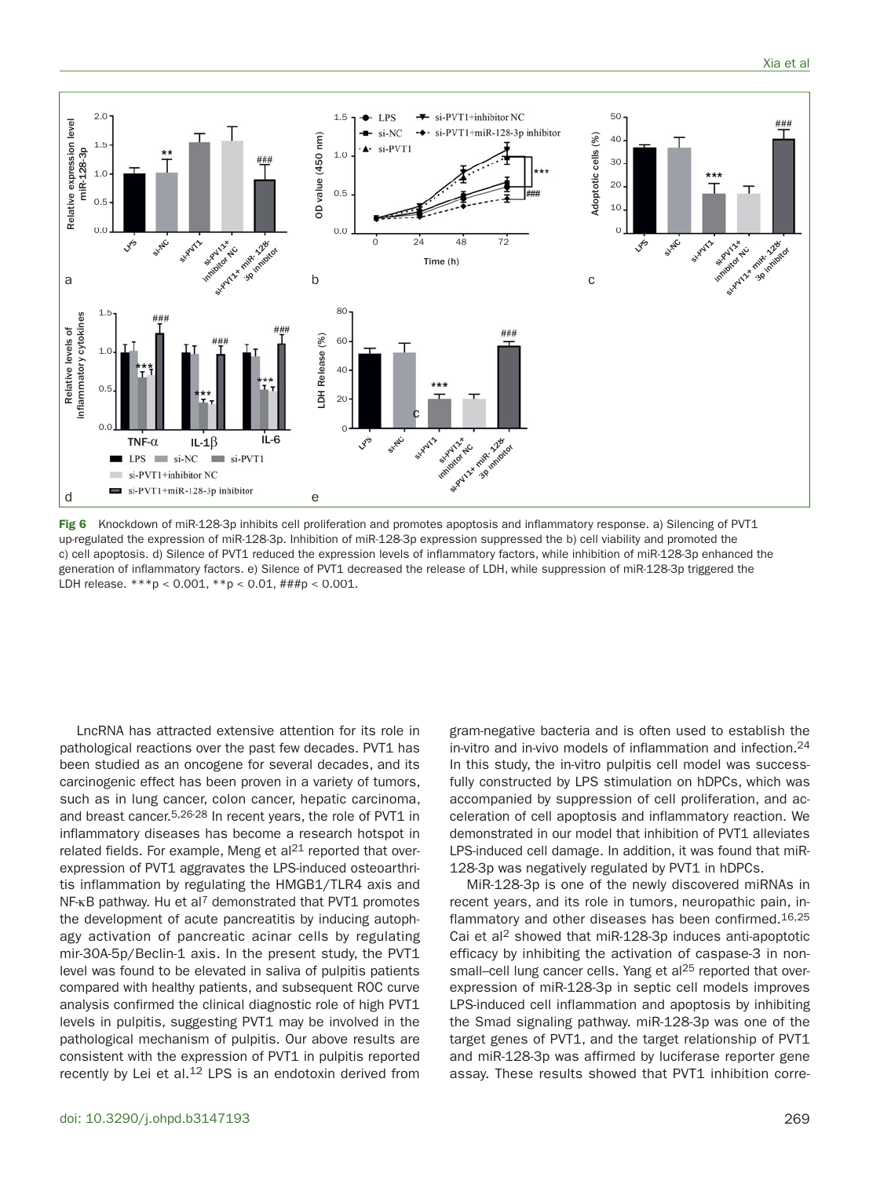![](_page_6_Figure_1.jpeg)

**Fig 6** Knockdown of miR-128-3p inhibits cell proliferation and promotes apoptosis and inflammatory response. a) Silencing of PVT1 up-regulated the expression of miR-128-3p. Inhibition of miR-128-3p expression suppressed the b) cell viability and promoted the c) cell apoptosis. d) Silence of PVT1 reduced the expression levels of inflammatory factors, while inhibition of miR-128-3p enhanced the generation of inflammatory factors. e) Silence of PVT1 decreased the release of LDH, while suppression of miR-128-3p triggered the LDH release. \*\*\*p < 0.001, \*\*p < 0.01, ###p < 0.001.

LncRNA has attracted extensive attention for its role in pathological reactions over the past few decades. PVT1 has been studied as an oncogene for several decades, and its carcinogenic effect has been proven in a variety of tumors, such as in lung cancer, colon cancer, hepatic carcinoma, and breast cancer.<sup>5,26-28</sup> In recent years, the role of PVT1 in inflammatory diseases has become a research hotspot in related fields. For example, Meng et al<sup>21</sup> reported that overexpression of PVT1 aggravates the LPS-induced osteoarthritis inflammation by regulating the HMGB1/TLR4 axis and  $NF$ - $KB$  pathway. Hu et al<sup>7</sup> demonstrated that PVT1 promotes the development of acute pancreatitis by inducing autophagy activation of pancreatic acinar cells by regulating mir-30A-5p/Beclin-1 axis. In the present study, the PVT1 level was found to be elevated in saliva of pulpitis patients compared with healthy patients, and subsequent ROC curve analysis confirmed the clinical diagnostic role of high PVT1 levels in pulpitis, suggesting PVT1 may be involved in the pathological mechanism of pulpitis. Our above results are consistent with the expression of PVT1 in pulpitis reported recently by Lei et al.<sup>12</sup> LPS is an endotoxin derived from

gram-negative bacteria and is often used to establish the in-vitro and in-vivo models of inflammation and infection.24 In this study, the in-vitro pulpitis cell model was successfully constructed by LPS stimulation on hDPCs, which was accompanied by suppression of cell proliferation, and acceleration of cell apoptosis and inflammatory reaction. We demonstrated in our model that inhibition of PVT1 alleviates LPS-induced cell damage. In addition, it was found that miR-128-3p was negatively regulated by PVT1 in hDPCs.

MiR-128-3p is one of the newly discovered miRNAs in recent years, and its role in tumors, neuropathic pain, inflammatory and other diseases has been confirmed.16,25 Cai et al 2 showed that miR-128-3p induces anti-apoptotic efficacy by inhibiting the activation of caspase-3 in nonsmall-cell lung cancer cells. Yang et al<sup>25</sup> reported that overexpression of miR-128-3p in septic cell models improves LPS-induced cell inflammation and apoptosis by inhibiting the Smad signaling pathway. miR-128-3p was one of the target genes of PVT1, and the target relationship of PVT1 and miR-128-3p was affirmed by luciferase reporter gene assay. These results showed that PVT1 inhibition corre